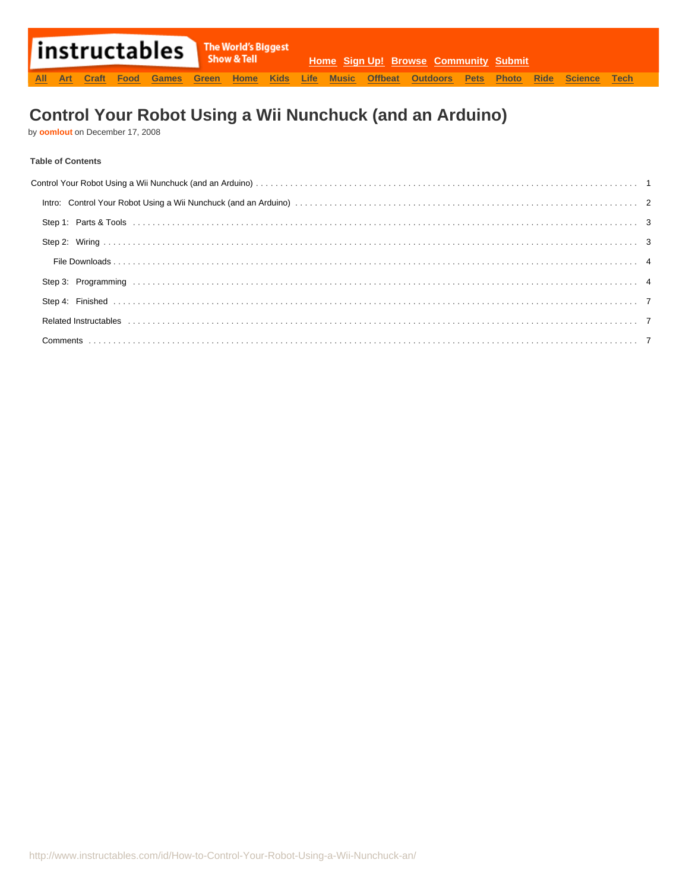# **Control Your Robot Using a Wii Nunchuck (and an Arduino)**

by **[oomlout](http://www.instructables.com/member/oomlout/?utm_source=pdf&utm_campaign=title)** on December 17, 2008

# **Table of Contents**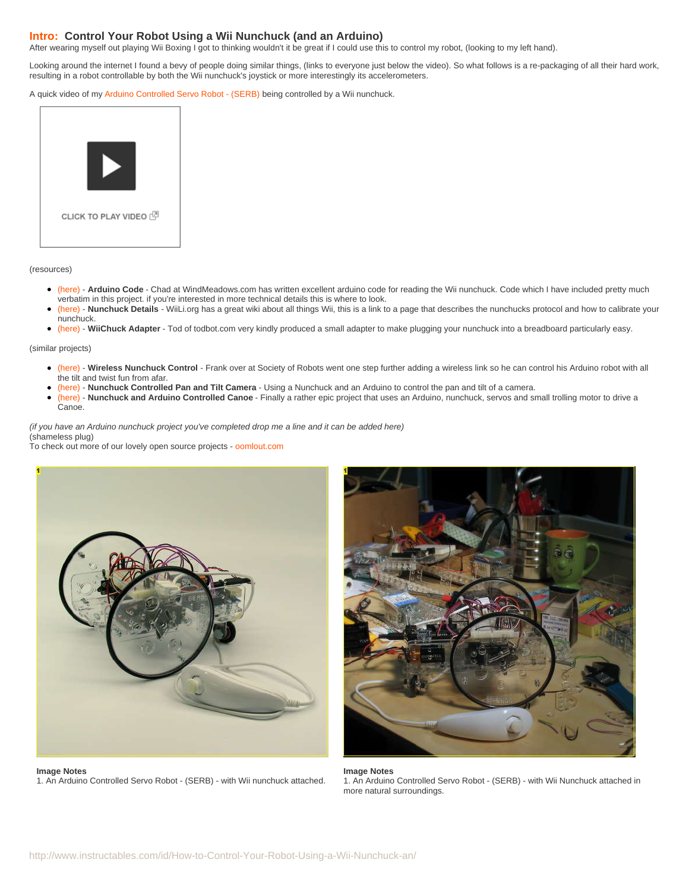# <span id="page-1-0"></span>**Intro: Control Your Robot Using a Wii Nunchuck (and an Arduino)**

After wearing myself out playing Wii Boxing I got to thinking wouldn't it be great if I could use this to control my robot, (looking to my left hand).

Looking around the internet I found a bevy of people doing similar things, (links to everyone just below the video). So what follows is a re-packaging of all their hard work, resulting in a robot controllable by both the Wii nunchuck's joystick or more interestingly its accelerometers.

A quick video of my [Arduino Controlled Servo Robot - \(SERB\)](http://www.instructables.com/id/How_to_Make_an_Arduino_Controlled_Servo_Robot_SER/) being controlled by a Wii nunchuck.



(resources)

- [\(here\)](http://www.windmeadow.com/node/42?page=1) **Arduino Code** Chad at WindMeadows.com has written excellent arduino code for reading the Wii nunchuck. Code which I have included pretty much verbatim in this project. if you're interested in more technical details this is where to look.
- [\(here\)](http://www.wiili.org/index.php/Motion_analysis) **Nunchuck Details** WiiLi.org has a great wiki about all things Wii, this is a link to a page that describes the nunchucks protocol and how to calibrate your nunchuck.
- [\(here\)](http://todbot.com/blog/2008/02/18/wiichuck-wii-nunchuck-adapter-available/) **WiiChuck Adapter** Tod of todbot.com very kindly produced a small adapter to make plugging your nunchuck into a breadboard particularly easy.

(similar projects)

- [\(here\)](http://www.societyofrobots.com/robotforum/index.php?topic=2633.0) **Wireless Nunchuck Control** Frank over at Society of Robots went one step further adding a wireless link so he can control his Arduino robot with all the tilt and twist fun from afar.
- [\(here\)](http://www.youtube.com/watch?v=MD_-YnFZFP8&feature=related) **Nunchuck Controlled Pan and Tilt Camera** Using a Nunchuck and an Arduino to control the pan and tilt of a camera.
- [\(here\)](http://growdown.blogspot.com/2008/07/half-bot-all-boat.html) **Nunchuck and Arduino Controlled Canoe** Finally a rather epic project that uses an Arduino, nunchuck, servos and small trolling motor to drive a Canoe.

(if you have an Arduino nunchuck project you've completed drop me a line and it can be added here) (shameless plug)

To check out more of our lovely open source projects - [oomlout.com](http://www.oomlout.com)



**Image Notes** 1. An Arduino Controlled Servo Robot - (SERB) - with Wii nunchuck attached.



**Image Notes** 1. An Arduino Controlled Servo Robot - (SERB) - with Wii Nunchuck attached in more natural surroundings.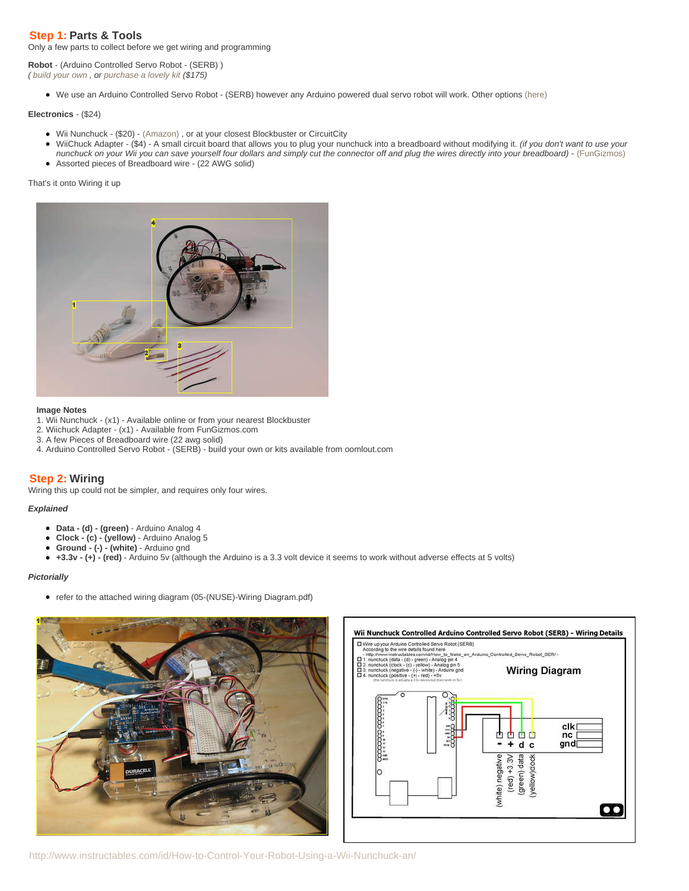# <span id="page-2-0"></span>**Step 1: Parts & Tools**

Only a few parts to collect before we get wiring and programming

**Robot** - (Arduino Controlled Servo Robot - (SERB) ) ( [build your own](http://www.instructables.com/id/How_to_Make_an_Arduino_Controlled_Servo_Robot_SER/) , or [purchase a lovely kit](http://store.oomlout.com/arduino-controlled-servo-robot-serb--kit1.html) (\$175)

We use an Arduino Controlled Servo Robot - (SERB) however any Arduino powered dual servo robot will work. Other options [\(here\)](http://www.instructables.com/id/Make-a-wall-avoiding-Robot!/)

## **Electronics** - (\$24)

- Wii Nunchuck (\$20) - [\(Amazon\)](http://www.amazon.com/Wii-Nunchuk-Controller-nintendo/dp/B000IMYKQ0/ref=pd_bbs_sr_1?ie=UTF8&s=videogames&qid=1229520786&sr=8-1) , or at your closest Blockbuster or CircuitCity
- WiiChuck Adapter (\$4) A small circuit board that allows you to plug your nunchuck into a breadboard without modifying it. (if you don't want to use your
- nunchuck on your Wii you can save yourself four dollars and simply cut the connector off and plug the wires directly into your breadboard) - [\(FunGizmos\)](http://store.fungizmos.com/index.php?main_page=product_info&cPath=69&products_id=212)
- Assorted pieces of Breadboard wire (22 AWG solid)

# That's it onto Wiring it up



#### **Image Notes**

- 1. Wii Nunchuck (x1) Available online or from your nearest Blockbuster
- 2. Wiichuck Adapter (x1) Available from FunGizmos.com
- 3. A few Pieces of Breadboard wire (22 awg solid)
- 4. Arduino Controlled Servo Robot (SERB) build your own or kits available from oomlout.com

# **Step 2: Wiring**

Wiring this up could not be simpler, and requires only four wires.

# **Explained**

- **Data (d) (green)** Arduino Analog 4
- **Clock (c) (yellow)** Arduino Analog 5  $\bullet$
- **Ground (-) (white)** Arduino gnd
- **+3.3v (+) (red)** Arduino 5v (although the Arduino is a 3.3 volt device it seems to work without adverse effects at 5 volts)  $\bullet$

### **Pictorially**

• refer to the attached wiring diagram (05-(NUSE)-Wiring Diagram.pdf)





http://www.instructables.com/id/How-to-Control-Your-Robot-Using-a-Wii-Nunchuck-an/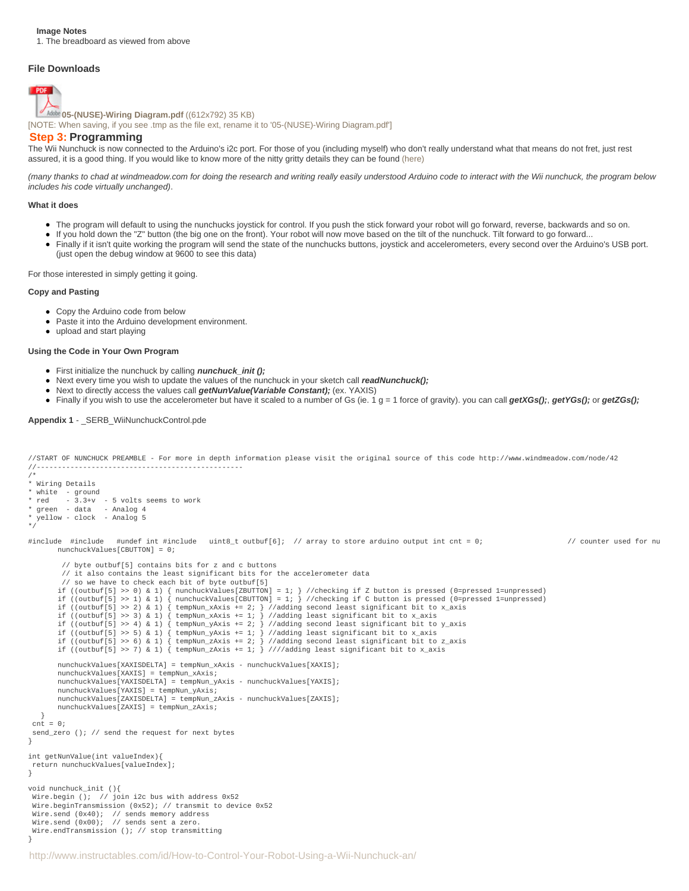#### <span id="page-3-0"></span>**Image Notes**

1. The breadboard as viewed from above

### **File Downloads**



**[05-\(NUSE\)-Wiring Diagram.pdf](http://www.instructables.com/files/orig/FC4/YBKM/FOHU3N5W/FC4YBKMFOHU3N5W.pdf?utm_source=pdf&utm_campaign=files)** [\(\(612x792\) 35 KB\)](http://www.instructables.com/files/orig/FC4/YBKM/FOHU3N5W/FC4YBKMFOHU3N5W.pdf?utm_source=pdf&utm_campaign=files)

[\[NOTE: When saving, if you see .tmp as the file ext, rename it to '05-\(NUSE\)-Wiring Diagram.pdf'\]](http://www.instructables.com/files/orig/FC4/YBKM/FOHU3N5W/FC4YBKMFOHU3N5W.pdf?utm_source=pdf&utm_campaign=files)

## **Step 3: Programming**

The Wii Nunchuck is now connected to the Arduino's i2c port. For those of you (including myself) who don't really understand what that means do not fret, just rest assured, it is a good thing. If you would like to know more of the nitty gritty details they can be found [\(here\)](http://www.windmeadow.com/node/42?page=1)

(many thanks to chad at windmeadow.com for doing the research and writing really easily understood Arduino code to interact with the Wii nunchuck, the program below includes his code virtually unchanged).

#### **What it does**

- The program will default to using the nunchucks joystick for control. If you push the stick forward your robot will go forward, reverse, backwards and so on.
- If you hold down the "Z" button (the big one on the front). Your robot will now move based on the tilt of the nunchuck. Tilt forward to go forward...
- Finally if it isn't quite working the program will send the state of the nunchucks buttons, joystick and accelerometers, every second over the Arduino's USB port. (just open the debug window at 9600 to see this data)

For those interested in simply getting it going.

#### **Copy and Pasting**

- Copy the Arduino code from below
- Paste it into the Arduino development environment.
- upload and start playing

### **Using the Code in Your Own Program**

- First initialize the nunchuck by calling **nunchuck\_init ();**
- Next every time you wish to update the values of the nunchuck in your sketch call *readNunchuck()*;
- Next to directly access the values call **getNunValue(Variable Constant);** (ex. YAXIS)
- Finally if you wish to use the accelerometer but have it scaled to a number of Gs (ie. 1 g = 1 force of gravity). you can call **getXGs();**, **getYGs();** or **getZGs();**

#### **Appendix 1** - \_SERB\_WiiNunchuckControl.pde

```
//START OF NUNCHUCK PREAMBLE - For more in depth information please visit the original source of this code http://www.windmeadow.com/node/42
//-------------------------------------------------
/*
* Wiring Details
* white - ground
* red - 3.3+v - 5 volts seems to work
* green - data - Analog 4
yellow - clock - Analog 5
*/
#include #include #undef int #include uint8_t outbuf[6]; // array to store arduino output int cnt = 0; // counter used for nu
  nunchuckValues[CBUTTON] = 0;
   // byte outbuf[5] contains bits for z and c buttons
   // it also contains the least significant bits for the accelerometer data
   // so we have to check each bit of byte outbuf[5]
 if ((outbuf[5] >> 0) & 1) { nunchuckValues[ZBUTTON] = 1; } //checking if Z button is pressed (0=pressed 1=unpressed)
 if ((outbuf[5] >> 1) & 1) { nunchuckValues[CBUTTON] = 1; } //checking if C button is pressed (0=pressed 1=unpressed)
 if ((outbuf[5] >> 2) & 1) { tempNun_xAxis += 2; } //adding second least significant bit to x_axis
 if ((outbuf[5] >> 3) & 1) { tempNun_xAxis += 1; } //adding least significant bit to x_axis
 if ((outbuf[5] >> 4) & 1) { tempNun_yAxis += 2; } //adding second least significant bit to y_axis
 if ((outbuf[5] >> 5) & 1) { tempNun_yAxis += 1; } //adding least significant bit to x_axis
 if ((outbuf[5] >> 6) & 1) { tempNun_zAxis += 2; } //adding second least significant bit to z_axis
 if ((outbuf[5] >> 7) & 1) { tempNun_zAxis += 1; } ////adding least significant bit to x_axis
  nunchuckValues[XAXISDELTA] = tempNun_xAxis - nunchuckValues[XAXIS];
  nunchuckValues[XAXIS] = tempNun_xAxis;
 nunchuckValues[YAXISDELTA] = tempNun_yAxis - nunchuckValues[YAXIS];
  nunchuckValues[YAXIS] = tempNun_yAxis;
  nunchuckValues[ZAXISDELTA] = tempNun_zAxis - nunchuckValues[ZAXIS];
  nunchuckValues[ZAXIS] = tempNun_zAxis;
 }
\text{cnt} = 0;send_zero (); // send the request for next bytes
}
int getNunValue(int valueIndex){
 return nunchuckValues[valueIndex];
}
void nunchuck_init (){
Wire.begin (); // join i2c bus with address 0x52
 Wire.beginTransmission (0x52); // transmit to device 0x52
 Wire.send (0x40); // sends memory address
 Wire.send (0x00); // sends sent a zero.
 Wire.endTransmission (); // stop transmitting
}
```
http://www.instructables.com/id/How-to-Control-Your-Robot-Using-a-Wii-Nunchuck-an/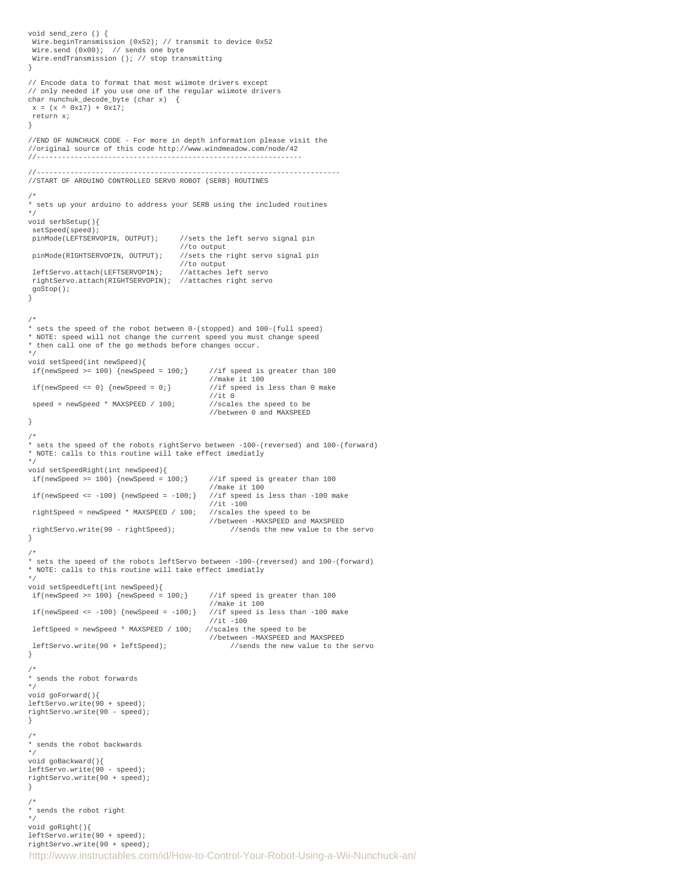```
http://www.instructables.com/id/How-to-Control-Your-Robot-Using-a-Wii-Nunchuck-an/
void send_zero () {
  Wire.beginTransmission (0x52); // transmit to device 0x52
 Wire.send (0x00); // sends one byte
  Wire.endTransmission (); // stop transmitting
}
// Encode data to format that most wiimote drivers except
// only needed if you use one of the regular wiimote drivers
char nunchuk_decode_byte (char x) {
x = (x \land 0x17) + 0x17; return x;
}
//END OF NUNCHUCK CODE - For more in depth information please visit the
//original source of this code http://www.windmeadow.com/node/42
//---------------------------------------------------------------
//------------------------------------------------------------------------
//START OF ARDUINO CONTROLLED SERVO ROBOT (SERB) ROUTINES
/*
* sets up your arduino to address your SERB using the included routines
*/
void serbSetup(){
 setSpeed(speed);<br>pinMode(LEFTSERVOPIN, OUTPUT);
                                      //sets the left servo signal pin
 % //to output<br>pinMode(RIGHTSERVOPIN, OUTPUT); //sets the r
                                      //sets the right servo signal pin
                                      //to output<br>//attaches left servo
 leftServo.attach(LEFTSERVOPIN);
  rightServo.attach(RIGHTSERVOPIN); //attaches right servo
  goStop();
}
/*
* sets the speed of the robot between 0-(stopped) and 100-(full speed)
* NOTE: speed will not change the current speed you must change speed
* then call one of the go methods before changes occur.
*/
void setSpeed(int newSpeed){
if(newSpeed >= 100) {newSpeed = 100;} //if speed is greater than 100
                                              //make it 100<br>//if speed is less than 0 make
if(newSpeed \le 0) \{newSpeed = 0 \}//it 0<br>//scales the speed to be
speed = newSpeed * MAXSPEED / 100;
                                              //between 0 and MAXSPEED
}
/*
* sets the speed of the robots rightServo between -100-(reversed) and 100-(forward)
* NOTE: calls to this routine will take effect imediatly
*/
void setSpeedRight(int newSpeed){
if(newSpeed >= 100) {newSpeed = 100;} //if speed is greater than 100
                                               //make it 100
 if(newSpeed <= -100) {newSpeed = -100;} //if speed is less than -100 make //it -100 //it -100
 rightSpeed = newSpeed * MAXSPEED / 100; //scales the speed to be
 //between -MAXSPEED and MAXSPEED<br>rightServo.write(90 - rightSpeed); //sends the new value to the
                                                   1/ sends the new value to the servo.
}
/*
* sets the speed of the robots leftServo between -100-(reversed) and 100-(forward)
* NOTE: calls to this routine will take effect imediatly
*/
void setSpeedLeft(int newSpeed){
if(newSpeed >= 100) {newSpeed = 100;} //if speed is greater than 100
                                              //make it 100
 if(newSpeed <= -100) {newSpeed = -100} //if speed is less than -100 make
                                            //it -100<br>//scales the speed to be
leftSpecd = newSpeed * MAXSPEED / 100; //between -MAXSPEED and MAXSPEED
 leftServo.write(90 + leftSpeed); //sends the new value to the servo
}
/*
* sends the robot forwards
*/
void goForward(){
leftServo.write(90 + speed);
rightServo.write(90 - speed);
}
/*
* sends the robot backwards
*/
void goBackward(){
leftServo.write(90 - speed);
rightServo.write(90 + speed);
}
/*
* sends the robot right
*/
void goRight(){
leftServo.write(90 + speed);
rightServo.write(90 + speed);
```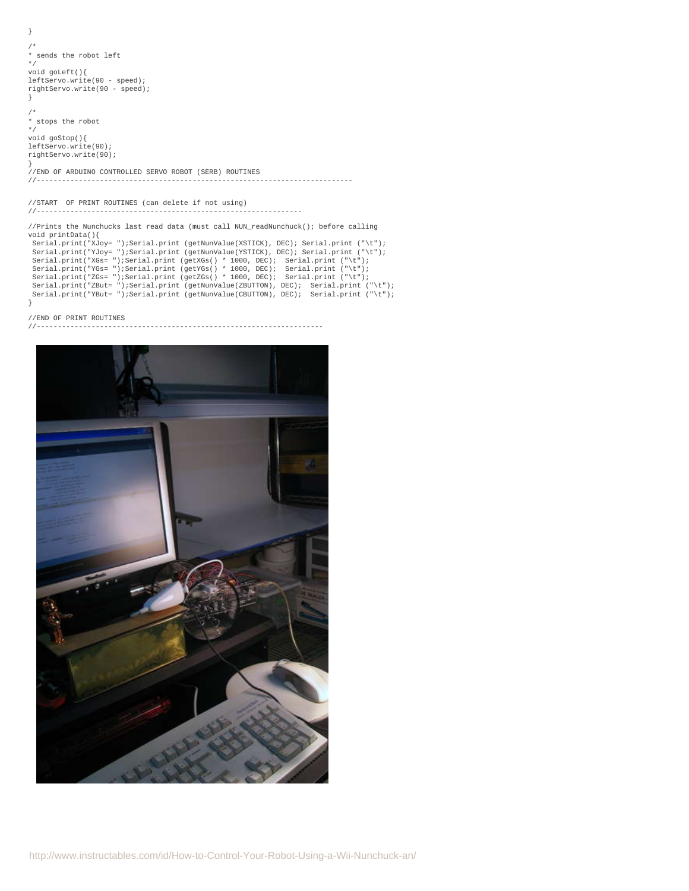```
}
/*
* sends the robot left
*/
void goLeft(){
leftServo.write(90 - speed);
rightServo.write(90 - speed);
}
/*
* stops the robot
*/
void goStop(){
leftServo.write(90);
rightServo.write(90);
}
//END OF ARDUINO CONTROLLED SERVO ROBOT (SERB) ROUTINES
//---------------------------------------------------------------------------
//START OF PRINT ROUTINES (can delete if not using)
//---------------------------------------------------------------
//Prints the Nunchucks last read data (must call NUN readNunchuck(); before calling
void printData(){
  Serial.print("XJoy= ");Serial.print (getNunValue(XSTICK), DEC); Serial.print ("\t");
Serial.print("YJoy=");Serial.print(getNunValue(YSTICK), DEC); Serial.print("\t");<br>Serial.print("XGs=");Serial.print(getXGs() * 1000, DEC); Serial.print("\t");<br>Serial.print("YGs=");Serial.print(getYGs() * 1000, DEC); Seria
 Serial.print("ZBut= ");Serial.print (getNunValue(ZBUTTON), DEC); Serial.print ("\t");
 Serial.print("YBut= ");Serial.print (getNunValue(CBUTTON), DEC); Serial.print ("\t");
```

```
}
```

```
//END OF PRINT ROUTINES<br>//----------------------
```
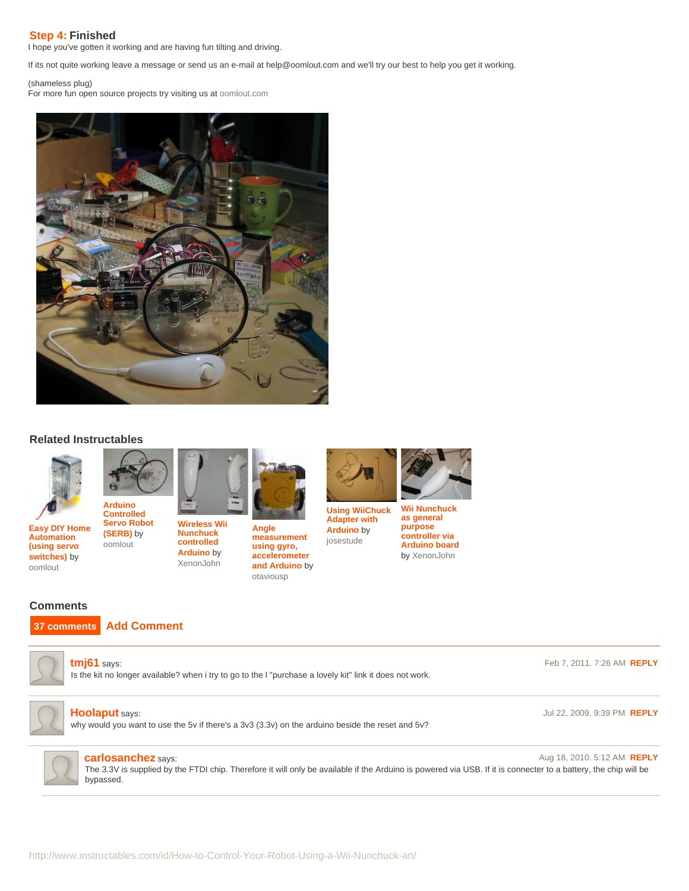# <span id="page-6-0"></span>**Step 4: Finished**

I hope you've gotten it working and are having fun tilting and driving.

If its not quite working leave a message or send us an e-mail at help@oomlout.com and we'll try our best to help you get it working.

(shameless plug) For more fun open source projects try visiting us at [oomlout.com](http://www.oomlout.com)



# **Related Instructables**



**[Automation](http://www.instructables.com/id/Easy-Home-Automation-using-servo-switches/?utm_source=pdf&utm_campaign=related) [\(using servo](http://www.instructables.com/id/Easy-Home-Automation-using-servo-switches/?utm_source=pdf&utm_campaign=related) [switches\)](http://www.instructables.com/id/Easy-Home-Automation-using-servo-switches/?utm_source=pdf&utm_campaign=related)** by [oomlout](http://www.instructables.com/member/oomlout/?utm_source=pdf&utm_campaign=related)

**[Easy DIY Home](http://www.instructables.com/id/Easy-Home-Automation-using-servo-switches/?utm_source=pdf&utm_campaign=related) [Arduino](http://www.instructables.com/id/How-to-Make-an-Arduino-Controlled-Servo-Robot-SER/?utm_source=pdf&utm_campaign=related) [Controlled](http://www.instructables.com/id/How-to-Make-an-Arduino-Controlled-Servo-Robot-SER/?utm_source=pdf&utm_campaign=related) [Servo Robot](http://www.instructables.com/id/How-to-Make-an-Arduino-Controlled-Servo-Robot-SER/?utm_source=pdf&utm_campaign=related) [\(SERB\)](http://www.instructables.com/id/How-to-Make-an-Arduino-Controlled-Servo-Robot-SER/?utm_source=pdf&utm_campaign=related)** by [oomlout](http://www.instructables.com/member/oomlout/?utm_source=pdf&utm_campaign=related)



**[Nunchuck](http://www.instructables.com/id/Wireless-Wii-Nunchuck-control-of-Arduino-projects/?utm_source=pdf&utm_campaign=related) [controlled](http://www.instructables.com/id/Wireless-Wii-Nunchuck-control-of-Arduino-projects/?utm_source=pdf&utm_campaign=related) [Arduino](http://www.instructables.com/id/Wireless-Wii-Nunchuck-control-of-Arduino-projects/?utm_source=pdf&utm_campaign=related)** by [XenonJohn](http://www.instructables.com/member/XenonJohn/?utm_source=pdf&utm_campaign=related)



**[Angle](http://www.instructables.com/id/Angle-measurement-using-gyro-accelerometer-and-Ar/?utm_source=pdf&utm_campaign=related) [measurement](http://www.instructables.com/id/Angle-measurement-using-gyro-accelerometer-and-Ar/?utm_source=pdf&utm_campaign=related) [using gyro,](http://www.instructables.com/id/Angle-measurement-using-gyro-accelerometer-and-Ar/?utm_source=pdf&utm_campaign=related) [accelerometer](http://www.instructables.com/id/Angle-measurement-using-gyro-accelerometer-and-Ar/?utm_source=pdf&utm_campaign=related) [and Arduino](http://www.instructables.com/id/Angle-measurement-using-gyro-accelerometer-and-Ar/?utm_source=pdf&utm_campaign=related)** by [otaviousp](http://www.instructables.com/member/otaviousp/?utm_source=pdf&utm_campaign=related)

**[Using WiiChuck](http://www.instructables.com/id/Using-WiiChuck-Adapter-with-Arduino/?utm_source=pdf&utm_campaign=related) [Wii Nunchuck](http://www.instructables.com/id/Wii-Nunchuck-as-general-purpose-controller-via-Ard/?utm_source=pdf&utm_campaign=related)**

**[Adapter with](http://www.instructables.com/id/Using-WiiChuck-Adapter-with-Arduino/?utm_source=pdf&utm_campaign=related) [Arduino](http://www.instructables.com/id/Using-WiiChuck-Adapter-with-Arduino/?utm_source=pdf&utm_campaign=related)** by [josestude](http://www.instructables.com/member/josestude/?utm_source=pdf&utm_campaign=related)

**[as general](http://www.instructables.com/id/Wii-Nunchuck-as-general-purpose-controller-via-Ard/?utm_source=pdf&utm_campaign=related) [purpose](http://www.instructables.com/id/Wii-Nunchuck-as-general-purpose-controller-via-Ard/?utm_source=pdf&utm_campaign=related) [controller via](http://www.instructables.com/id/Wii-Nunchuck-as-general-purpose-controller-via-Ard/?utm_source=pdf&utm_campaign=related) [Arduino board](http://www.instructables.com/id/Wii-Nunchuck-as-general-purpose-controller-via-Ard/?utm_source=pdf&utm_campaign=related)** by [XenonJohn](http://www.instructables.com/member/XenonJohn/?utm_source=pdf&utm_campaign=related)

# **Comments**





Is the kit no longer available? when i try to go to the l "purchase a lovely kit" link it does not work.





### **[Hoolaput](http://www.instructables.com/member/Hoolaput/?utm_source=pdf&utm_campaign=comments)** says: Jul 22, 2009. 9:39 PM **[REPLY](http://www.instructables.com/id/How-to-Control-Your-Robot-Using-a-Wii-Nunchuck-an/?utm_source=pdf&utm_campaign=comments#DISCUSS)**

why would you want to use the 5v if there's a 3v3 (3.3v) on the arduino beside the reset and 5v?



**[carlosanchez](http://www.instructables.com/member/carlosanchez/?utm_source=pdf&utm_campaign=comments)** says: Aug 18, 2010. 5:12 AM **[REPLY](http://www.instructables.com/id/How-to-Control-Your-Robot-Using-a-Wii-Nunchuck-an/?utm_source=pdf&utm_campaign=comments#DISCUSS)** The 3.3V is supplied by the FTDI chip. Therefore it will only be available if the Arduino is powered via USB. If it is connecter to a battery, the chip will be bypassed.

http://www.instructables.com/id/How-to-Control-Your-Robot-Using-a-Wii-Nunchuck-an/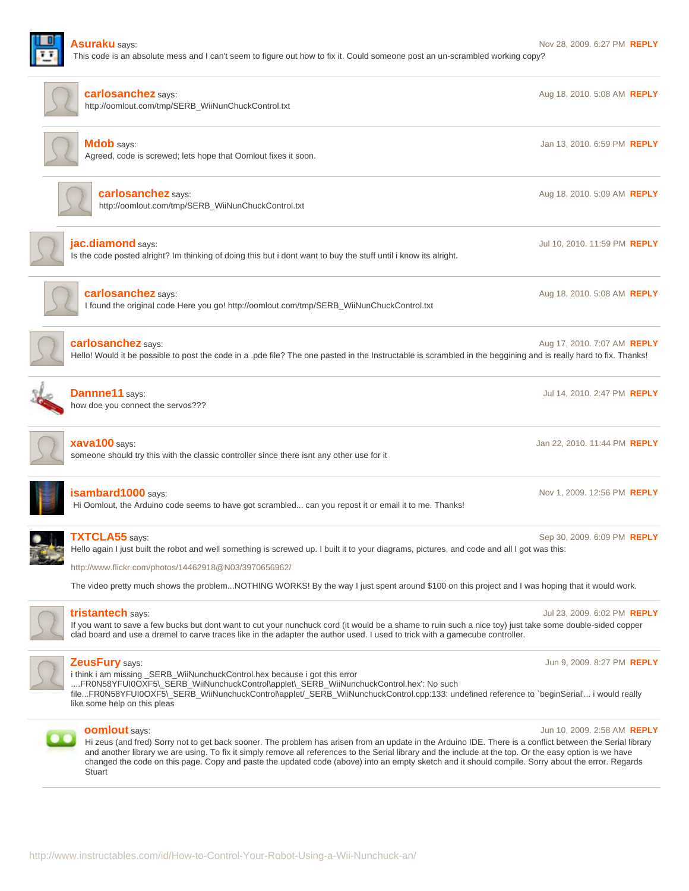

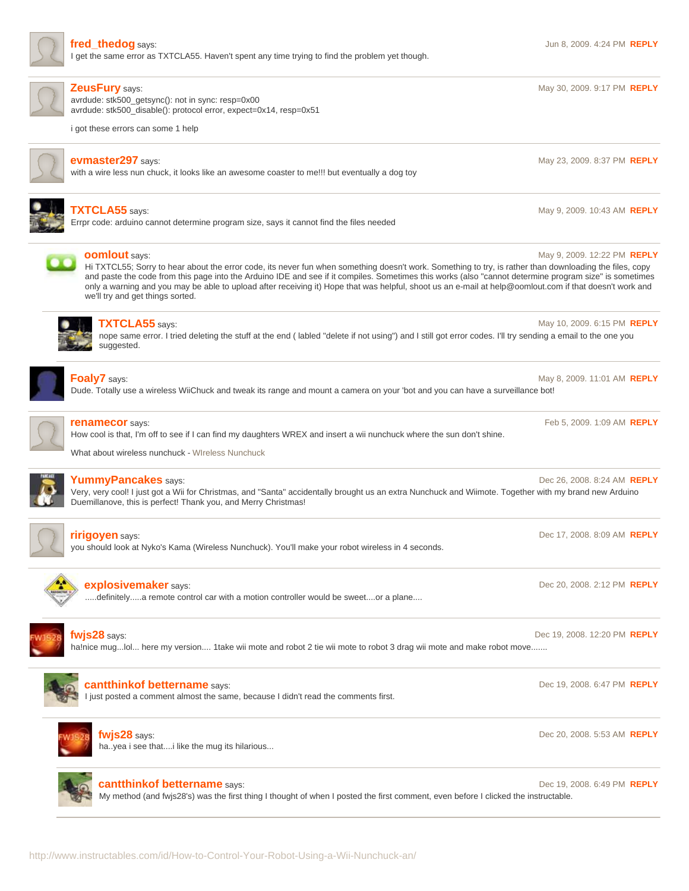

I get the same error as TXTCLA55. Haven't spent any time trying to find the problem yet though.

**[ZeusFury](http://www.instructables.com/member/ZeusFury/?utm_source=pdf&utm_campaign=comments)** says: May 30, 2009. 9:17 PM **[REPLY](http://www.instructables.com/id/How-to-Control-Your-Robot-Using-a-Wii-Nunchuck-an/?utm_source=pdf&utm_campaign=comments#DISCUSS)**

avrdude: stk500\_getsync(): not in sync: resp=0x00 avrdude: stk500\_disable(): protocol error, expect=0x14, resp=0x51

i got these errors can some 1 help



**[evmaster297](http://www.instructables.com/member/evmaster297/?utm_source=pdf&utm_campaign=comments)** says: **May 23, 2009. 8:37 PM <b>[REPLY](http://www.instructables.com/id/How-to-Control-Your-Robot-Using-a-Wii-Nunchuck-an/?utm_source=pdf&utm_campaign=comments#DISCUSS) May 23, 2009. 8:37 PM <b>REPLY** with a wire less nun chuck, it looks like an awesome coaster to me!!! but eventually a dog toy



# **[TXTCLA55](http://www.instructables.com/member/TXTCLA55/?utm_source=pdf&utm_campaign=comments)** says: May 9, 2009. 10:43 AM **[REPLY](http://www.instructables.com/id/How-to-Control-Your-Robot-Using-a-Wii-Nunchuck-an/?utm_source=pdf&utm_campaign=comments#DISCUSS)**

Errpr code: arduino cannot determine program size, says it cannot find the files needed



# **[oomlout](http://www.instructables.com/member/oomlout/?utm_source=pdf&utm_campaign=comments)** says: **May 9, 2009. 12:22 PM <b>[REPLY](http://www.instructables.com/id/How-to-Control-Your-Robot-Using-a-Wii-Nunchuck-an/?utm_source=pdf&utm_campaign=comments#DISCUSS) May 9, 2009. 12:22 PM <b>REPLY May 9, 2009. 12:22 PM <b>REPLY**

Hi TXTCL55; Sorry to hear about the error code, its never fun when something doesn't work. Something to try, is rather than downloading the files, copy and paste the code from this page into the Arduino IDE and see if it compiles. Sometimes this works (also "cannot determine program size" is sometimes only a warning and you may be able to upload after receiving it) Hope that was helpful, shoot us an e-mail at help@oomlout.com if that doesn't work and we'll try and get things sorted.



# **[TXTCLA55](http://www.instructables.com/member/TXTCLA55/?utm_source=pdf&utm_campaign=comments)** says: **May 10, 2009. 6:15 PM <b>[REPLY](http://www.instructables.com/id/How-to-Control-Your-Robot-Using-a-Wii-Nunchuck-an/?utm_source=pdf&utm_campaign=comments#DISCUSS) May 10, 2009. 6:15 PM <b>REPLY**

nope same error. I tried deleting the stuff at the end ( labled "delete if not using") and I still got error codes. I'll try sending a email to the one you suggested.



## **[Foaly7](http://www.instructables.com/member/Foaly7/?utm_source=pdf&utm_campaign=comments)** says: **May 8, 2009. 11:01 AM <b>[REPLY](http://www.instructables.com/id/How-to-Control-Your-Robot-Using-a-Wii-Nunchuck-an/?utm_source=pdf&utm_campaign=comments#DISCUSS)** and the same of the same of the same of the same of the same of the same of the same of the same of the same of the same of the same of the same of the same of the same of the

Dude. Totally use a wireless WiiChuck and tweak its range and mount a camera on your 'bot and you can have a surveillance bot!



# **[renamecor](http://www.instructables.com/member/renamecor/?utm_source=pdf&utm_campaign=comments)** says: Feb 5, 2009. 1:09 AM **[REPLY](http://www.instructables.com/id/How-to-Control-Your-Robot-Using-a-Wii-Nunchuck-an/?utm_source=pdf&utm_campaign=comments#DISCUSS)**

How cool is that, I'm off to see if I can find my daughters WREX and insert a wii nunchuck where the sun don't shine.

What about wireless nunchuck - [WIreless Nunchuck](http://www.wirelessnunchucks.co.uk)



# **[YummyPancakes](http://www.instructables.com/member/YummyPancakes/?utm_source=pdf&utm_campaign=comments)** says: Dec 26, 2008. 8:24 AM **[REPLY](http://www.instructables.com/id/How-to-Control-Your-Robot-Using-a-Wii-Nunchuck-an/?utm_source=pdf&utm_campaign=comments#DISCUSS)**

Very, very cool! I just got a Wii for Christmas, and "Santa" accidentally brought us an extra Nunchuck and Wiimote. Together with my brand new Arduino Duemillanove, this is perfect! Thank you, and Merry Christmas!



# **[ririgoyen](http://www.instructables.com/member/ririgoyen/?utm_source=pdf&utm_campaign=comments)** says: Dec 17, 2008. 8:09 AM **[REPLY](http://www.instructables.com/id/How-to-Control-Your-Robot-Using-a-Wii-Nunchuck-an/?utm_source=pdf&utm_campaign=comments#DISCUSS)**

you should look at Nyko's Kama (Wireless Nunchuck). You'll make your robot wireless in 4 seconds.



# **[explosivemaker](http://www.instructables.com/member/explosivemaker/?utm_source=pdf&utm_campaign=comments)** says: Dec 20, 2008. 2:12 PM **[REPLY](http://www.instructables.com/id/How-to-Control-Your-Robot-Using-a-Wii-Nunchuck-an/?utm_source=pdf&utm_campaign=comments#DISCUSS)**

.....definitely.....a remote control car with a motion controller would be sweet....or a plane....



**[fwjs28](http://www.instructables.com/member/fwjs28/?utm_source=pdf&utm_campaign=comments)** says: Dec 19, 2008. 12:20 PM **[REPLY](http://www.instructables.com/id/How-to-Control-Your-Robot-Using-a-Wii-Nunchuck-an/?utm_source=pdf&utm_campaign=comments#DISCUSS)** ha!nice mug...lol... here my version.... 1take wii mote and robot 2 tie wii mote to robot 3 drag wii mote and make robot move.......



# **[cantthinkof bettername](http://www.instructables.com/member/cantthinkof+bettername/?utm_source=pdf&utm_campaign=comments)** says: Dec 19, 2008. 6:47 PM **[REPLY](http://www.instructables.com/id/How-to-Control-Your-Robot-Using-a-Wii-Nunchuck-an/?utm_source=pdf&utm_campaign=comments#DISCUSS)**

I just posted a comment almost the same, because I didn't read the comments first.



# **[fwjs28](http://www.instructables.com/member/fwjs28/?utm_source=pdf&utm_campaign=comments)** says: Dec 20, 2008. 5:53 AM **[REPLY](http://www.instructables.com/id/How-to-Control-Your-Robot-Using-a-Wii-Nunchuck-an/?utm_source=pdf&utm_campaign=comments#DISCUSS)**

ha..yea i see that....i like the mug its hilarious...

**[cantthinkof bettername](http://www.instructables.com/member/cantthinkof+bettername/?utm_source=pdf&utm_campaign=comments)** says: Dec 19, 2008. 6:49 PM **[REPLY](http://www.instructables.com/id/How-to-Control-Your-Robot-Using-a-Wii-Nunchuck-an/?utm_source=pdf&utm_campaign=comments#DISCUSS)**

My method (and fwjs28's) was the first thing I thought of when I posted the first comment, even before I clicked the instructable.